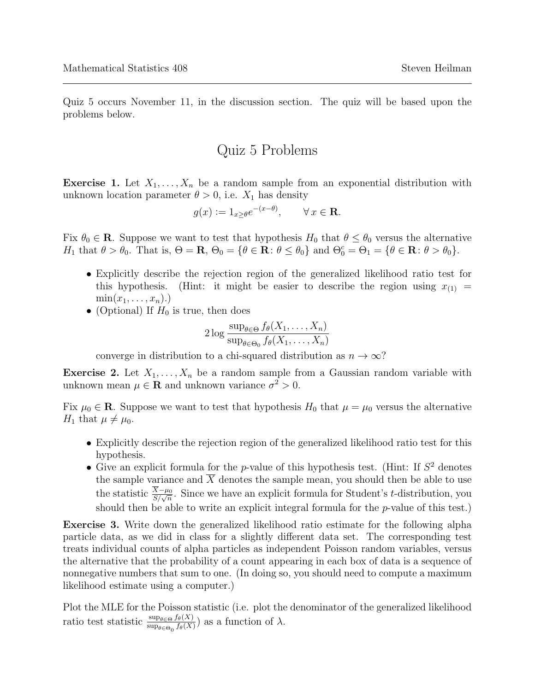Quiz 5 occurs November 11, in the discussion section. The quiz will be based upon the problems below.

## Quiz 5 Problems

**Exercise 1.** Let  $X_1, \ldots, X_n$  be a random sample from an exponential distribution with unknown location parameter  $\theta > 0$ , i.e.  $X_1$  has density

$$
g(x) := 1_{x \ge \theta} e^{-(x-\theta)}, \qquad \forall \, x \in \mathbf{R}.
$$

Fix  $\theta_0 \in \mathbf{R}$ . Suppose we want to test that hypothesis  $H_0$  that  $\theta \leq \theta_0$  versus the alternative H<sub>1</sub> that  $\theta > \theta_0$ . That is,  $\Theta = \mathbf{R}$ ,  $\Theta_0 = {\theta \in \mathbf{R} : \theta \leq \theta_0}$  and  $\Theta_0^c = \Theta_1 = {\theta \in \mathbf{R} : \theta > \theta_0}.$ 

- Explicitly describe the rejection region of the generalized likelihood ratio test for this hypothesis. (Hint: it might be easier to describe the region using  $x_{(1)} =$  $\min(x_1, \ldots, x_n).$
- (Optional) If  $H_0$  is true, then does

$$
2\log \frac{\sup_{\theta \in \Theta} f_{\theta}(X_1,\ldots,X_n)}{\sup_{\theta \in \Theta_0} f_{\theta}(X_1,\ldots,X_n)}
$$

converge in distribution to a chi-squared distribution as  $n \to \infty$ ?

**Exercise 2.** Let  $X_1, \ldots, X_n$  be a random sample from a Gaussian random variable with unknown mean  $\mu \in \mathbf{R}$  and unknown variance  $\sigma^2 > 0$ .

Fix  $\mu_0 \in \mathbf{R}$ . Suppose we want to test that hypothesis  $H_0$  that  $\mu = \mu_0$  versus the alternative  $H_1$  that  $\mu \neq \mu_0$ .

- Explicitly describe the rejection region of the generalized likelihood ratio test for this hypothesis.
- Give an explicit formula for the *p*-value of this hypothesis test. (Hint: If  $S<sup>2</sup>$  denotes the sample variance and  $\overline{X}$  denotes the sample mean, you should then be able to use the statistic  $\frac{X-\mu_0}{S/\sqrt{n}}$ . Since we have an explicit formula for Student's t-distribution, you should then be able to write an explicit integral formula for the p-value of this test.)

Exercise 3. Write down the generalized likelihood ratio estimate for the following alpha particle data, as we did in class for a slightly different data set. The corresponding test treats individual counts of alpha particles as independent Poisson random variables, versus the alternative that the probability of a count appearing in each box of data is a sequence of nonnegative numbers that sum to one. (In doing so, you should need to compute a maximum likelihood estimate using a computer.)

Plot the MLE for the Poisson statistic (i.e. plot the denominator of the generalized likelihood ratio test statistic  $\frac{\sup_{\theta \in \Theta} f_{\theta}(X)}{\sup_{\theta \in \Theta_0} f_{\theta}(X)}$  as a function of  $\lambda$ .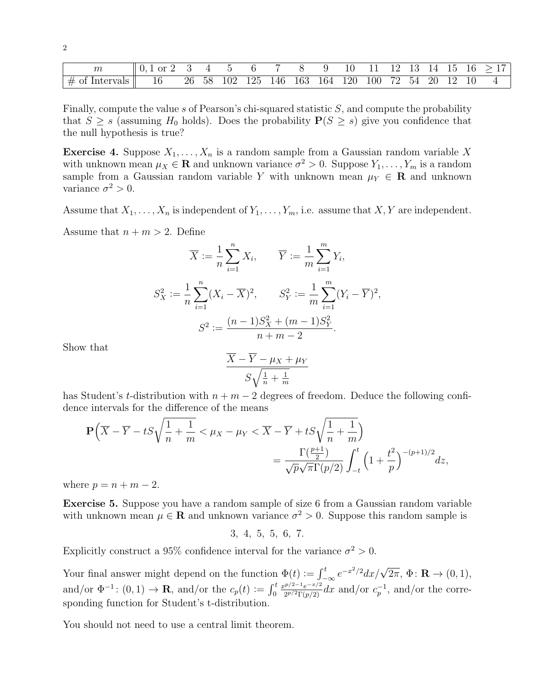| $\,m$                                   |       |  |  |  |                                                  |  |  |  | $\frac{9}{10}$ 10 11 12 13 14 15 16 $>17$ |
|-----------------------------------------|-------|--|--|--|--------------------------------------------------|--|--|--|-------------------------------------------|
| $\parallel \#$ of Intervals $\parallel$ | -- 16 |  |  |  | 26 58 102 125 146 163 164 120 100 72 54 20 12 10 |  |  |  |                                           |

Finally, compute the value s of Pearson's chi-squared statistic  $S$ , and compute the probability that  $S \geq s$  (assuming  $H_0$  holds). Does the probability  $P(S \geq s)$  give you confidence that the null hypothesis is true?

**Exercise 4.** Suppose  $X_1, \ldots, X_n$  is a random sample from a Gaussian random variable X with unknown mean  $\mu_X \in \mathbf{R}$  and unknown variance  $\sigma^2 > 0$ . Suppose  $Y_1, \ldots, Y_m$  is a random sample from a Gaussian random variable Y with unknown mean  $\mu_Y \in \mathbb{R}$  and unknown variance  $\sigma^2 > 0$ .

Assume that  $X_1, \ldots, X_n$  is independent of  $Y_1, \ldots, Y_m$ , i.e. assume that  $X, Y$  are independent.

Assume that  $n + m > 2$ . Define

$$
\overline{X} := \frac{1}{n} \sum_{i=1}^{n} X_i, \qquad \overline{Y} := \frac{1}{m} \sum_{i=1}^{m} Y_i,
$$
  

$$
S_X^2 := \frac{1}{n} \sum_{i=1}^{n} (X_i - \overline{X})^2, \qquad S_Y^2 := \frac{1}{m} \sum_{i=1}^{m} (Y_i - \overline{Y})^2,
$$
  

$$
S^2 := \frac{(n-1)S_X^2 + (m-1)S_Y^2}{n+m-2}.
$$

Show that

2

$$
\frac{\overline{X} - \overline{Y} - \mu_X + \mu_Y}{S\sqrt{\frac{1}{n} + \frac{1}{m}}}
$$

has Student's t-distribution with  $n + m - 2$  degrees of freedom. Deduce the following confidence intervals for the difference of the means

$$
\mathbf{P}\left(\overline{X} - \overline{Y} - tS\sqrt{\frac{1}{n} + \frac{1}{m}} < \mu_X - \mu_Y < \overline{X} - \overline{Y} + tS\sqrt{\frac{1}{n} + \frac{1}{m}}\right) = \frac{\Gamma(\frac{p+1}{2})}{\sqrt{p}\sqrt{\pi}\Gamma(p/2)} \int_{-t}^{t} \left(1 + \frac{t^2}{p}\right)^{-(p+1)/2} dz,
$$

where  $p = n + m - 2$ .

Exercise 5. Suppose you have a random sample of size 6 from a Gaussian random variable with unknown mean  $\mu \in \mathbb{R}$  and unknown variance  $\sigma^2 > 0$ . Suppose this random sample is

3, 4, 5, 5, 6, 7.

Explicitly construct a 95% confidence interval for the variance  $\sigma^2 > 0$ .

Your final answer might depend on the function  $\Phi(t) := \int_{-\infty}^{t} e^{-x^2/2} dx / \sqrt{2\pi}, \Phi \colon \mathbf{R} \to (0, 1),$ and/or  $\Phi^{-1}$ :  $(0,1) \rightarrow \mathbf{R}$ , and/or the  $c_p(t) := \int_0^t$  $x^{p/2-1}e^{-x/2}$  $\frac{2p/2-1}{{2p}/{2\Gamma(p/2)}}dx$  and/or  $c_p^{-1}$ , and/or the corresponding function for Student's t-distribution.

You should not need to use a central limit theorem.